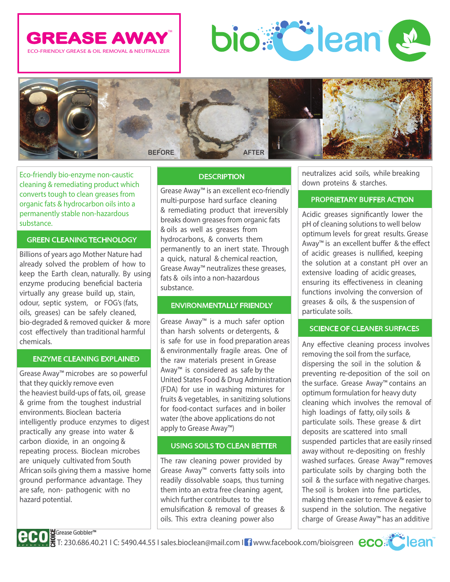





Eco‐friendly bio‐enzyme non‐caustic cleaning & remediating product which converts tough to clean greases from organic fats & hydrocarbon oils into a permanently stable non‐hazardous substance.

## GREEN CLEANING TECHNOLOGY

Billions of years ago Mother Nature had already solved the problem of how to keep the Earth clean, naturally. By using enzyme producing beneficial bacteria virtually any grease build up, stain, odour, septic system, or FOG's (fats, oils, greases) can be safely cleaned, bio‐degraded & removed quicker & more cost effectively than traditional harmful chemicals.

## ENZYME CLEANING EXPLAINED

Grease Away™ microbes are so powerful that they quickly remove even the heaviest build‐ups of fats, oil, grease & grime from the toughest industrial environments. Bioclean bacteria intelligently produce enzymes to digest practically any grease into water & carbon dioxide, in an ongoing & repeating process. Bioclean microbes are uniquely cultivated from South African soils giving them a massive home ground performance advantage. They are safe, non‐ pathogenic with no hazard potential.

## **DESCRIPTION**

Grease Away™ is an excellent eco‐friendly multi‐purpose hard surface cleaning & remediating product that irreversibly breaks down greases from organic fats & oils as well as greases from hydrocarbons, & converts them permanently to an inert state. Through a quick, natural & chemical reaction, Grease Away™ neutralizes these greases, fats & oils into a non‐hazardous substance.

## ENVIRONMENTALLY FRIENDLY

Grease Away™ is a much safer option than harsh solvents or detergents, & is safe for use in food preparation areas & environmentally fragile areas. One of the raw materials present in Grease Away™ is considered as safe by the United States Food & Drug Administration (FDA) for use in washing mixtures for fruits & vegetables, in sanitizing solutions for food‐contact surfaces and in boiler water (the above applications do not apply to Grease Away™)

# USING SOILS TO CLEAN BETTER

The raw cleaning power provided by Grease Away™ converts fatty soils into readily dissolvable soaps, thus turning them into an extra free cleaning agent, which further contributes to the emulsification & removal of greases & oils. This extra cleaning power also

neutralizes acid soils, while breaking down proteins & starches.

## PROPRIETARY BUFFER ACTION

Acidic greases significantly lower the pH of cleaning solutions to well below optimum levels for great results. Grease Away™ is an excellent buffer & the effect of acidic greases is nullified, keeping the solution at a constant pH over an extensive loading of acidic greases, ensuring its effectiveness in cleaning functions involving the conversion of greases & oils, & the suspension of particulate soils.

## SCIENCE OF CLEANER SURFACES

Any effective cleaning process involves removing the soil from the surface, dispersing the soil in the solution & preventing re‐deposition of the soil on the surface. Grease Away™ contains an optimum formulation for heavy duty cleaning which involves the removal of high loadings of fatty, oily soils & particulate soils. These grease & dirt deposits are scattered into small suspended particles that are easily rinsed away without re-depositing on freshly washed surfaces. Grease Away™ removes particulate soils by charging both the soil & the surface with negative charges. The soil is broken into fine particles, making them easier to remove & easier to suspend in the solution. The negative charge of Grease Away™ has an additive

![](_page_0_Picture_19.jpeg)

![](_page_0_Picture_21.jpeg)